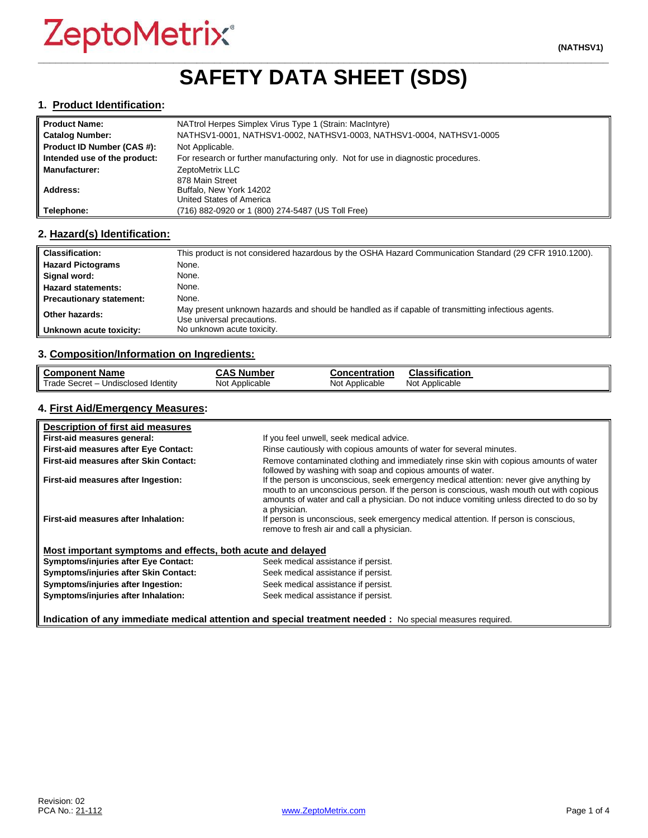## **\_\_\_\_\_\_\_\_\_\_\_\_\_\_\_\_\_\_\_\_\_\_\_\_\_\_\_\_\_\_\_\_\_\_\_\_\_\_\_\_\_\_\_\_\_\_\_\_\_\_\_\_\_\_\_\_\_\_\_\_\_\_\_\_\_\_\_\_\_\_\_\_\_\_\_\_\_\_\_\_\_\_\_\_\_\_\_\_\_\_\_\_\_\_\_\_\_ SAFETY DATA SHEET (SDS)**

#### **1. Product Identification:**

| <b>Product Name:</b>         | NATtrol Herpes Simplex Virus Type 1 (Strain: MacIntyre)                           |
|------------------------------|-----------------------------------------------------------------------------------|
| <b>Catalog Number:</b>       | NATHSV1-0001, NATHSV1-0002, NATHSV1-0003, NATHSV1-0004, NATHSV1-0005              |
| Product ID Number (CAS #):   | Not Applicable.                                                                   |
| Intended use of the product: | For research or further manufacturing only. Not for use in diagnostic procedures. |
| <b>Manufacturer:</b>         | ZeptoMetrix LLC                                                                   |
|                              | 878 Main Street                                                                   |
| Address:                     | Buffalo, New York 14202                                                           |
|                              | United States of America                                                          |
| Telephone:                   | (716) 882-0920 or 1 (800) 274-5487 (US Toll Free)                                 |

#### **2. Hazard(s) Identification:**

| <b>Classification:</b>          | This product is not considered hazardous by the OSHA Hazard Communication Standard (29 CFR 1910.1200).                           |
|---------------------------------|----------------------------------------------------------------------------------------------------------------------------------|
| <b>Hazard Pictograms</b>        | None.                                                                                                                            |
| Signal word:                    | None.                                                                                                                            |
| <b>Hazard statements:</b>       | None.                                                                                                                            |
| <b>Precautionary statement:</b> | None.                                                                                                                            |
| Other hazards:                  | May present unknown hazards and should be handled as if capable of transmitting infectious agents.<br>Use universal precautions. |
| Unknown acute toxicity:         | No unknown acute toxicity.                                                                                                       |

#### **3. Composition/Information on Ingredients:**

| <b>Component Name</b>               | <b>CAS Number</b> | <b>Concentration</b> | <b>Classification</b> |
|-------------------------------------|-------------------|----------------------|-----------------------|
| Trade Secret - Undisclosed Identity | Not Applicable    | Not Applicable       | Not Applicable        |

#### **4. First Aid/Emergency Measures:**

| Description of first aid measures                           |                                                                                                                                                                                                                                                                                                |
|-------------------------------------------------------------|------------------------------------------------------------------------------------------------------------------------------------------------------------------------------------------------------------------------------------------------------------------------------------------------|
| First-aid measures general:                                 | If you feel unwell, seek medical advice.                                                                                                                                                                                                                                                       |
| First-aid measures after Eye Contact:                       | Rinse cautiously with copious amounts of water for several minutes.                                                                                                                                                                                                                            |
| First-aid measures after Skin Contact:                      | Remove contaminated clothing and immediately rinse skin with copious amounts of water<br>followed by washing with soap and copious amounts of water.                                                                                                                                           |
| First-aid measures after Ingestion:                         | If the person is unconscious, seek emergency medical attention: never give anything by<br>mouth to an unconscious person. If the person is conscious, wash mouth out with copious<br>amounts of water and call a physician. Do not induce vomiting unless directed to do so by<br>a physician. |
| First-aid measures after Inhalation:                        | If person is unconscious, seek emergency medical attention. If person is conscious,<br>remove to fresh air and call a physician.                                                                                                                                                               |
| Most important symptoms and effects, both acute and delayed |                                                                                                                                                                                                                                                                                                |
| <b>Symptoms/injuries after Eye Contact:</b>                 | Seek medical assistance if persist.                                                                                                                                                                                                                                                            |
| Symptoms/injuries after Skin Contact:                       | Seek medical assistance if persist.                                                                                                                                                                                                                                                            |
| Symptoms/injuries after Ingestion:                          | Seek medical assistance if persist.                                                                                                                                                                                                                                                            |
| Symptoms/injuries after Inhalation:                         | Seek medical assistance if persist.                                                                                                                                                                                                                                                            |

**Indication of any immediate medical attention and special treatment needed :** No special measures required.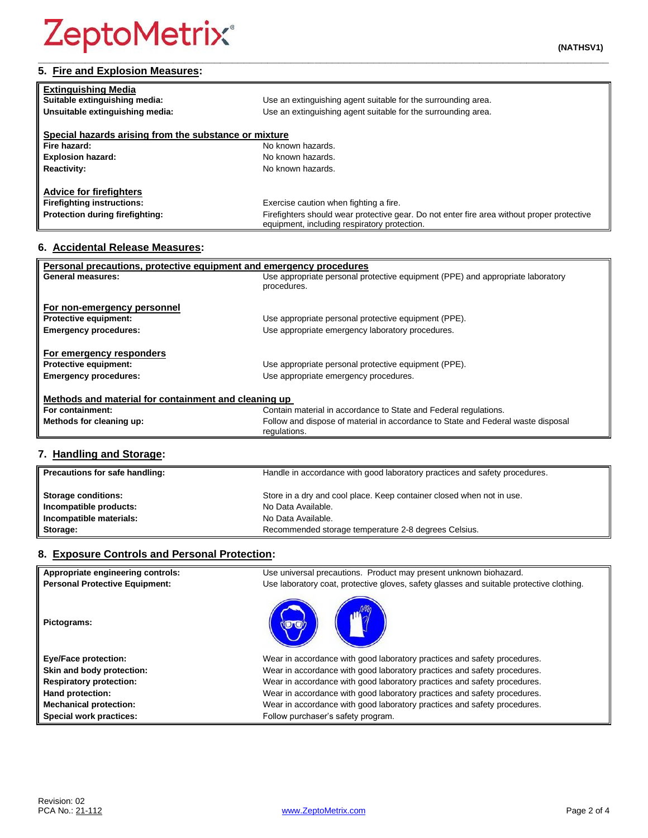#### **\_\_\_\_\_\_\_\_\_\_\_\_\_\_\_\_\_\_\_\_\_\_\_\_\_\_\_\_\_\_\_\_\_\_\_\_\_\_\_\_\_\_\_\_\_\_\_\_\_\_\_\_\_\_\_\_\_\_\_\_\_\_\_\_\_\_\_\_\_\_\_\_\_\_\_\_\_\_\_\_\_\_\_\_\_\_\_\_\_\_\_\_\_\_\_\_\_ 5. Fire and Explosion Measures:**

| <b>Extinguishing Media</b>                            |                                                                                                                                            |
|-------------------------------------------------------|--------------------------------------------------------------------------------------------------------------------------------------------|
| Suitable extinguishing media:                         | Use an extinguishing agent suitable for the surrounding area.                                                                              |
| Unsuitable extinguishing media:                       | Use an extinguishing agent suitable for the surrounding area.                                                                              |
|                                                       |                                                                                                                                            |
| Special hazards arising from the substance or mixture |                                                                                                                                            |
| Fire hazard:                                          | No known hazards.                                                                                                                          |
| <b>Explosion hazard:</b>                              | No known hazards.                                                                                                                          |
| <b>Reactivity:</b>                                    | No known hazards.                                                                                                                          |
|                                                       |                                                                                                                                            |
| <b>Advice for firefighters</b>                        |                                                                                                                                            |
| <b>Firefighting instructions:</b>                     | Exercise caution when fighting a fire.                                                                                                     |
| Protection during firefighting:                       | Firefighters should wear protective gear. Do not enter fire area without proper protective<br>equipment, including respiratory protection. |

### **6. Accidental Release Measures:**

| Personal precautions, protective equipment and emergency procedures |                                                                                  |  |
|---------------------------------------------------------------------|----------------------------------------------------------------------------------|--|
| General measures:                                                   | Use appropriate personal protective equipment (PPE) and appropriate laboratory   |  |
|                                                                     | procedures.                                                                      |  |
|                                                                     |                                                                                  |  |
| For non-emergency personnel                                         |                                                                                  |  |
| <b>Protective equipment:</b>                                        | Use appropriate personal protective equipment (PPE).                             |  |
| <b>Emergency procedures:</b>                                        | Use appropriate emergency laboratory procedures.                                 |  |
|                                                                     |                                                                                  |  |
| For emergency responders                                            |                                                                                  |  |
| <b>Protective equipment:</b>                                        | Use appropriate personal protective equipment (PPE).                             |  |
| <b>Emergency procedures:</b>                                        | Use appropriate emergency procedures.                                            |  |
|                                                                     |                                                                                  |  |
| Methods and material for containment and cleaning up                |                                                                                  |  |
| For containment:                                                    | Contain material in accordance to State and Federal regulations.                 |  |
| Methods for cleaning up:                                            | Follow and dispose of material in accordance to State and Federal waste disposal |  |
|                                                                     | regulations.                                                                     |  |
|                                                                     |                                                                                  |  |

## **7. Handling and Storage:**

| Precautions for safe handling: | Handle in accordance with good laboratory practices and safety procedures. |
|--------------------------------|----------------------------------------------------------------------------|
| <b>Storage conditions:</b>     | Store in a dry and cool place. Keep container closed when not in use.      |
| Incompatible products:         | No Data Available.                                                         |
| Incompatible materials:        | No Data Available.                                                         |
| Storage:                       | Recommended storage temperature 2-8 degrees Celsius.                       |

#### **8. Exposure Controls and Personal Protection:**

| Appropriate engineering controls:     | Use universal precautions. Product may present unknown biohazard.                        |
|---------------------------------------|------------------------------------------------------------------------------------------|
| <b>Personal Protective Equipment:</b> | Use laboratory coat, protective gloves, safety glasses and suitable protective clothing. |
| Pictograms:                           |                                                                                          |
| <b>Eye/Face protection:</b>           | Wear in accordance with good laboratory practices and safety procedures.                 |
| Skin and body protection:             | Wear in accordance with good laboratory practices and safety procedures.                 |
| <b>Respiratory protection:</b>        | Wear in accordance with good laboratory practices and safety procedures.                 |
| Hand protection:                      | Wear in accordance with good laboratory practices and safety procedures.                 |
| <b>Mechanical protection:</b>         | Wear in accordance with good laboratory practices and safety procedures.                 |
| Special work practices:               | Follow purchaser's safety program.                                                       |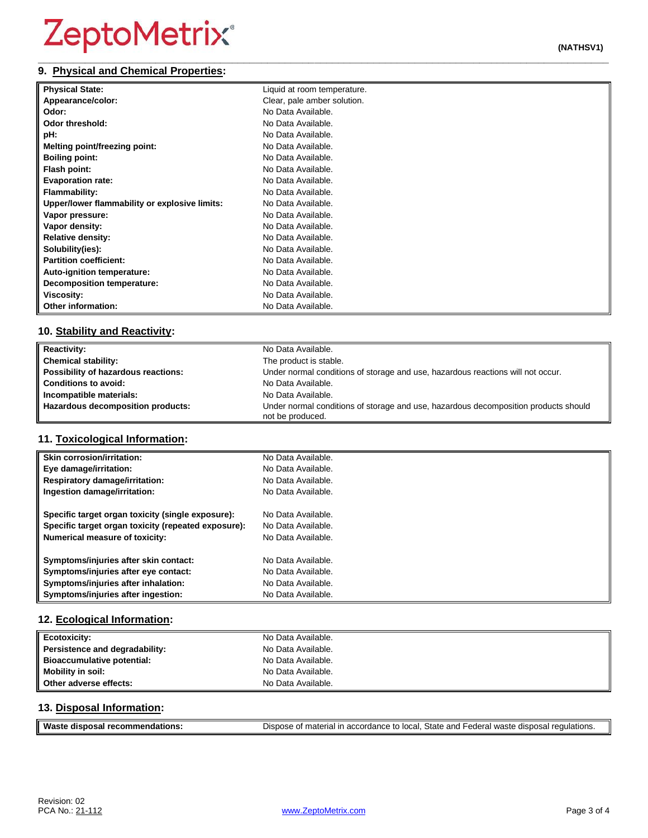#### **\_\_\_\_\_\_\_\_\_\_\_\_\_\_\_\_\_\_\_\_\_\_\_\_\_\_\_\_\_\_\_\_\_\_\_\_\_\_\_\_\_\_\_\_\_\_\_\_\_\_\_\_\_\_\_\_\_\_\_\_\_\_\_\_\_\_\_\_\_\_\_\_\_\_\_\_\_\_\_\_\_\_\_\_\_\_\_\_\_\_\_\_\_\_\_\_\_ 9. Physical and Chemical Properties:**

| <b>Physical State:</b>                        | Liquid at room temperature. |
|-----------------------------------------------|-----------------------------|
| Appearance/color:                             | Clear, pale amber solution. |
| Odor:                                         | No Data Available.          |
| Odor threshold:                               | No Data Available.          |
| pH:                                           | No Data Available.          |
| Melting point/freezing point:                 | No Data Available.          |
| <b>Boiling point:</b>                         | No Data Available.          |
| Flash point:                                  | No Data Available.          |
| <b>Evaporation rate:</b>                      | No Data Available.          |
| <b>Flammability:</b>                          | No Data Available.          |
| Upper/lower flammability or explosive limits: | No Data Available.          |
| Vapor pressure:                               | No Data Available.          |
| Vapor density:                                | No Data Available.          |
| <b>Relative density:</b>                      | No Data Available.          |
| Solubility(ies):                              | No Data Available.          |
| <b>Partition coefficient:</b>                 | No Data Available.          |
| Auto-ignition temperature:                    | No Data Available.          |
| <b>Decomposition temperature:</b>             | No Data Available.          |
| Viscosity:                                    | No Data Available.          |
| <b>Other information:</b>                     | No Data Available.          |

### **10. Stability and Reactivity:**

| <b>Reactivity:</b>                  | No Data Available.                                                                                      |
|-------------------------------------|---------------------------------------------------------------------------------------------------------|
| <b>Chemical stability:</b>          | The product is stable.                                                                                  |
| Possibility of hazardous reactions: | Under normal conditions of storage and use, hazardous reactions will not occur.                         |
| <b>Conditions to avoid:</b>         | No Data Available.                                                                                      |
| Incompatible materials:             | No Data Available.                                                                                      |
| Hazardous decomposition products:   | Under normal conditions of storage and use, hazardous decomposition products should<br>not be produced. |

### **11. Toxicological Information:**

| <b>Skin corrosion/irritation:</b>                   | No Data Available. |
|-----------------------------------------------------|--------------------|
| Eye damage/irritation:                              | No Data Available. |
| <b>Respiratory damage/irritation:</b>               | No Data Available. |
| Ingestion damage/irritation:                        | No Data Available. |
| Specific target organ toxicity (single exposure):   | No Data Available. |
| Specific target organ toxicity (repeated exposure): | No Data Available. |
| <b>Numerical measure of toxicity:</b>               | No Data Available. |
| Symptoms/injuries after skin contact:               | No Data Available. |
| Symptoms/injuries after eye contact:                | No Data Available. |
| Symptoms/injuries after inhalation:                 | No Data Available. |
| Symptoms/injuries after ingestion:                  | No Data Available. |

### **12. Ecological Information:**

| <b>Ecotoxicity:</b>               | No Data Available. |
|-----------------------------------|--------------------|
| Persistence and degradability:    | No Data Available. |
| <b>Bioaccumulative potential:</b> | No Data Available. |
| Mobility in soil:                 | No Data Available. |
| Other adverse effects:            | No Data Available. |

#### **13. Disposal Information:**

| <b>Wast</b>                     |                                                                                                              |
|---------------------------------|--------------------------------------------------------------------------------------------------------------|
| dations.<br>aisposar :<br>recon | n accordance to local. State and Federal waste disposal r<br><sup>1</sup> regulations.<br>. of material in : |